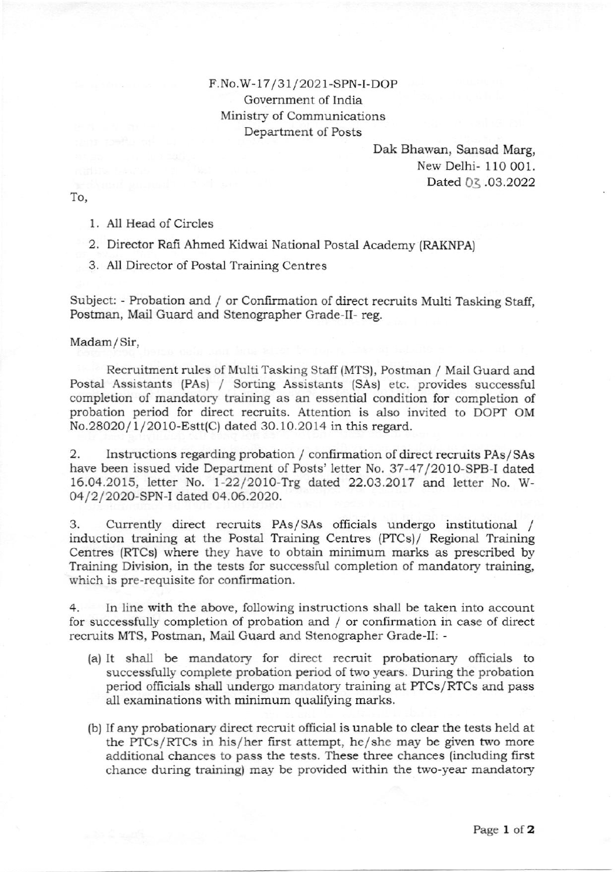## F.No.W-17/31/2021-SPN-I-DOP Govemment of India Ministry of Communications Department of Posts

Dak Bhawan, Sansad Marg, New Delhi- 110 001. Dated 03 .03.2022

To,

- 1. All Head of Circles
- 2. Director Rafi Ahmed Kidwai National Postal Academy (RAKNPA)
- 3. All Director of Postal Training Centres

Subject: - Probation and / or Confirmation of direct recruits Multi Tasking Staff, Postman, Mail Guard and Stenographer Grade-II- reg.

Madam/Sir,

Recruitment rules of Multi Tasking Staff (MTS), Postman / Mail Guard and Postal Assistants (PAs) / Sorting Assistants (SAs) etc. provides successful completion of mardatory training as an essential condition for completion of probation period for direct recruits. Attention is also invited to DOPI OM No.28O2O/l /2OlO-Estt(C) dated 30.10.2014 in this regard.

2. Instructions regarding probation / confirmation of direct recruits PAs/SAs have been issued vide Department of Posts' letter No. 37-47/2010-SPB-I dated 16.04.2015, letter No. 1-22/2OlO-Try dated, 22.Q3.2O!7 and letter No. W-04/2/2020-SPN-I dated 04.06.2020.

3. Currendy direct recruits PAs/SAs officials undergo institutional / induction training at the Postal Training Centres (PTCs)/ Regional Training Centres (RTCs) where they have to obtain minimum marks as prescribed by Training Division, in the tests for successful completon of mandatory training, which is pre-requisite for confirmation.

4. ln line with the above, following instructions shall be taken into account for successfully completion of probation and / or confirmation in case of direct recruits MTS, Postman, Mail Guard and Stenographer Grade-II: -

- (a) It shall be mandatory for direct recruit probationary officials to successlully complete probation period of two years. During the probation period ofhcials shall undergo mandatory training at PTCS/RTCS and pass all examinations with minimum qualifying marks.
- (b) If any probationary direct recruit official is unable to clear the tests held at the PTCs/RTCs in his/her first attempt, he/she may be given two more additional chances to pass the tests. These three chances (including first chance during training) may be provided within the two-year mandatory